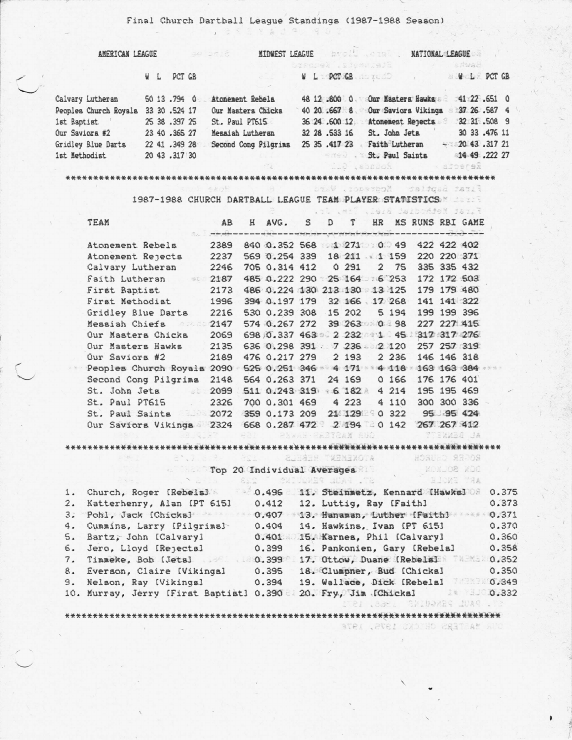Final Church Dartball League Standings (1987-1988 Season)

| AMERICAN LEAGUE       |  |  |               | Sincles              |  |  |                    |  |                                    | <b>MIDWEST LEAGUE AND ALL AND THE ANNITONAL LEAGUE AND ALL AND ALL AND ALL AND ALL AND ALL AND ALL AND ALL AND ALL AND ALL AND ALL AND ALL AND ALL AND ALL AND ALL AND ALL AND ALL AND ALL AND ALL AND ALL AND ALL AND ALL AND A</b> |  |                     |  |  |
|-----------------------|--|--|---------------|----------------------|--|--|--------------------|--|------------------------------------|--------------------------------------------------------------------------------------------------------------------------------------------------------------------------------------------------------------------------------------|--|---------------------|--|--|
|                       |  |  |               |                      |  |  | basepek .sjenniej2 |  |                                    |                                                                                                                                                                                                                                      |  | sawas.              |  |  |
|                       |  |  | W L PCT GB    |                      |  |  |                    |  | W.L. PCT GB. ACTUACH A WELF PCT GB |                                                                                                                                                                                                                                      |  |                     |  |  |
|                       |  |  |               |                      |  |  |                    |  |                                    |                                                                                                                                                                                                                                      |  |                     |  |  |
| Calvary Lutheran      |  |  | 50 13 .794 0  | Atonement Rebela     |  |  |                    |  | 48 12 .800 0 Our Masters Hawks     |                                                                                                                                                                                                                                      |  | $-41$ $22$ $-651$ 0 |  |  |
| Peoples Church Royals |  |  | 33 30 .524 17 | Our Masters Chicks   |  |  |                    |  | 40 20 .667 8 Our Saviors Vikings   |                                                                                                                                                                                                                                      |  | 37 26 .587 4        |  |  |
| 1st Baptist           |  |  | 25 38 .397 25 | St. Paul PT615       |  |  |                    |  | 36 24 .600 12 Atonement Rejects    |                                                                                                                                                                                                                                      |  | 32 31 .508 9        |  |  |
| Our Saviors #2        |  |  | 23 40 .365 27 | Messiah Lutheran     |  |  | 32 28 .533 16      |  | St. John Jets                      |                                                                                                                                                                                                                                      |  | 30 33 .476 11       |  |  |
| Gridley Blue Darts    |  |  | 22 41 .349 28 | Second Cong Pilgrims |  |  | 25 35 .417 23      |  | Faith Lutheran                     |                                                                                                                                                                                                                                      |  | $-20$ 43.317 21     |  |  |
| 1st Methodist         |  |  | 20 43 .317 30 | an zu                |  |  |                    |  | St. Paul Saints                    |                                                                                                                                                                                                                                      |  | 14 49 .222 27       |  |  |
|                       |  |  |               |                      |  |  |                    |  |                                    |                                                                                                                                                                                                                                      |  |                     |  |  |

## \*\*\*\*\*\*\*\*\*\*\*\*\*\*\*\*\*\*\*\*\*\*\*\*\*\*\*\*\*

First Saptiet Modreson, Watch

1987-1988 CHURCH DARTBALL LEAGUE TEAM PLAYER STATISTICS

|                                                                                                                                                                                                                                                                                                                                                                                                                                                                                                                                                                                            |      |   |                                                                                                                                          |  |                   |         | with his wind of the wind of the same of |             |              |
|--------------------------------------------------------------------------------------------------------------------------------------------------------------------------------------------------------------------------------------------------------------------------------------------------------------------------------------------------------------------------------------------------------------------------------------------------------------------------------------------------------------------------------------------------------------------------------------------|------|---|------------------------------------------------------------------------------------------------------------------------------------------|--|-------------------|---------|------------------------------------------|-------------|--------------|
| TEAM                                                                                                                                                                                                                                                                                                                                                                                                                                                                                                                                                                                       | AB   | H | AVG. S<br>na da caba na marama na daba na mara a gagacintan na papa gayaday ka saban na hayadka na marama na marama na aikintan na Walan |  | D T HR            |         | MS RUNS RBI GAME                         |             |              |
| Atonement Rebels                                                                                                                                                                                                                                                                                                                                                                                                                                                                                                                                                                           | 2389 |   | 840 0.352 568 1 271 0 49                                                                                                                 |  |                   |         |                                          | 422 422 402 |              |
| Atonement Rejects                                                                                                                                                                                                                                                                                                                                                                                                                                                                                                                                                                          | 2237 |   | 569 0.254 339 18 211 1 159                                                                                                               |  |                   |         |                                          | 220 220 371 |              |
| Calvary Lutheran                                                                                                                                                                                                                                                                                                                                                                                                                                                                                                                                                                           | 2246 |   | 705 0.314 412                                                                                                                            |  | 0.291             | 2, 75   |                                          | 335 335 432 |              |
| Faith Lutheran<br>身新日                                                                                                                                                                                                                                                                                                                                                                                                                                                                                                                                                                      | 2187 |   | 485 0.222 290 25 164 6 253                                                                                                               |  |                   |         |                                          | 172 172 503 |              |
| First Baptist                                                                                                                                                                                                                                                                                                                                                                                                                                                                                                                                                                              | 2173 |   | 486 0.224 130 213 130 13 125                                                                                                             |  |                   |         |                                          | 179 179 480 |              |
| First Methodist                                                                                                                                                                                                                                                                                                                                                                                                                                                                                                                                                                            | 1996 |   | 394 0.197 179                                                                                                                            |  | 32 166 17 268     |         |                                          | 141 141 322 |              |
| Gridley Blue Darts                                                                                                                                                                                                                                                                                                                                                                                                                                                                                                                                                                         | 2216 |   | 530 0.239 308                                                                                                                            |  | 15 202            | 5 194   |                                          | 199 199 396 |              |
| 2147<br>Messiah Chiefs                                                                                                                                                                                                                                                                                                                                                                                                                                                                                                                                                                     |      |   | 574 0.267 272                                                                                                                            |  | 39 263 0 98       |         |                                          | 227 227 415 |              |
| Our Masters Chicks                                                                                                                                                                                                                                                                                                                                                                                                                                                                                                                                                                         | 2069 |   | 698 0.337 463 2 232 1 45 317 317 276                                                                                                     |  |                   |         |                                          |             |              |
| Our Masters Hawks                                                                                                                                                                                                                                                                                                                                                                                                                                                                                                                                                                          | 2135 |   | 636 0.298 391 7 236 2 120                                                                                                                |  |                   |         |                                          |             | 257 257 319  |
| Our Saviors #2                                                                                                                                                                                                                                                                                                                                                                                                                                                                                                                                                                             | 2189 |   | 476 0.217 279                                                                                                                            |  | 2 1 9 3           | 2 2 3 6 |                                          | 146 146 318 |              |
| Peoples Church Royals 2090                                                                                                                                                                                                                                                                                                                                                                                                                                                                                                                                                                 |      |   | 525 0.251 346 4 171 4 118                                                                                                                |  |                   |         |                                          | 163 163 384 |              |
| Second Cong Pilgrims                                                                                                                                                                                                                                                                                                                                                                                                                                                                                                                                                                       | 2148 |   | 564 0.263 371 24 169                                                                                                                     |  |                   | 0,166   |                                          | 176 176 401 |              |
| $z$ b :<br>St. John Jets                                                                                                                                                                                                                                                                                                                                                                                                                                                                                                                                                                   | 2099 |   | 511 0.243 319                                                                                                                            |  | 46 182 A          | 4214    |                                          | 195 195 469 |              |
| St. Paul PT615<br>$\label{eq:4} \begin{array}{c} \mathbb{E}[\mathbf{x}]=\mathbf{x} \end{array}$                                                                                                                                                                                                                                                                                                                                                                                                                                                                                            | 2326 |   | 700 0.301 469                                                                                                                            |  | 4223              | 4110    |                                          | 300 300 336 |              |
| $\begin{array}{ccc} \hline \end{array} \begin{array}{ccc} \hline \end{array} & \begin{array}{ccc} \hline \end{array} & \begin{array}{ccc} \hline \end{array} & \begin{array}{ccc} \hline \end{array} & \begin{array}{ccc} \hline \end{array} & \begin{array}{ccc} \hline \end{array} & \begin{array}{ccc} \hline \end{array} & \begin{array}{ccc} \hline \end{array} & \begin{array}{ccc} \hline \end{array} & \begin{array}{ccc} \hline \end{array} & \begin{array}{ccc} \hline \end{array} & \begin{array}{ccc} \hline \end{array} & \begin{array}{ccc} \hline \end{$<br>St. Paul Saints | 2072 |   | 359 0.173 209                                                                                                                            |  | 21 129            | 0.322   |                                          | 95 95 424   |              |
| Our Saviors Vikings 2324                                                                                                                                                                                                                                                                                                                                                                                                                                                                                                                                                                   |      |   | 668 0.287 472 2 194 0 142                                                                                                                |  |                   |         |                                          | 267 267 412 |              |
|                                                                                                                                                                                                                                                                                                                                                                                                                                                                                                                                                                                            |      |   |                                                                                                                                          |  | PARAH ERETZAM SDO |         |                                          |             | AL BARBANETY |

## B', J. B. R. BEL BARBAR TEENEMOTA HORUNO REPOR

\*\*\*\*\*\*\*\*\*\*\*\*\*\*\*\*\*\*\*\*\*\*\*\*\*\*\*\*\*\*\*

Top 20 Individual Averages Manuscript Moment 2002 2002 2. Katterhenry, Alan IPT 6151 0.412 12. Luttig, Ray [Faith] 0.373 3. Pohl, Jack [Chicks] 0.407 13. Hanaman, Luther [Faith] 1944 0.371 4. Cummins, Larry [Pilgrims] 0.404 14. Hawkins, Ivan [PT 615] 0.370<br>5. Bartz, John [Calvary] 0.401 15. Karnea, Phil [Calvary] 0.360<br>6. Jero, Lloyd [Rejectal 0.399 16. Pankonien, Gary [Rebelal 0.358 7. Timmeke, Bob (Jets) 38 17. Ottow, Duane (Rebels) 78 852 8. Everson, Claire (Vikings) 0.395 18. Clumpner, Bud (Chickal 0.350<br>9. Nelson, Ray (Vikings) 0.394 19. Wallace, Dick (Rebelal 0.349 10. Murray, Jerry [First Baptist] 0.390 20. Fry, Jim [Chicka] 18 300.332

STRI , BAGINE SEIDARE IDA9 . TS

ONR MASTERS CHICKS 1975. 1978

\*\*\*\*\*\*\*\*\*\*\*\*\*\*\*\*\*\*\*\*\*\*\*\*\*\*\*\*\*